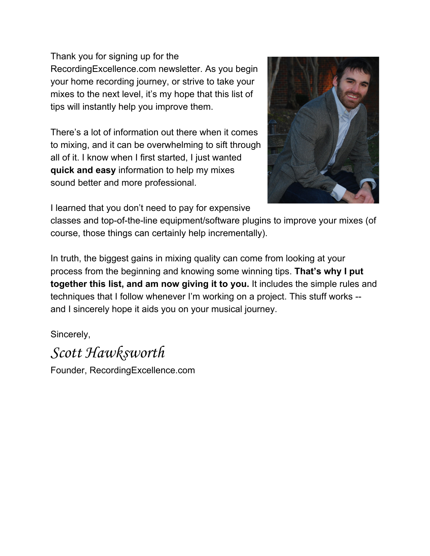Thank you for signing up for the RecordingExcellence.com newsletter. As you begin your home recording journey, or strive to take your mixes to the next level, it's my hope that this list of tips will instantly help you improve them.

There's a lot of information out there when it comes to mixing, and it can be overwhelming to sift through all of it. I know when I first started, I just wanted **quickandeasy**information to help my mixes sound better and more professional.



I learned that you don't need to pay for expensive

classes and top-of-the-line equipment/software plugins to improve your mixes (of course, those things can certainly help incrementally).

In truth, the biggest gains in mixing quality can come from looking at your process from the beginning and knowing some winning tips. **That's why I put together this list, and am now giving it to you.**It includes the simple rules and techniques that I follow whenever I'm working on a project. This stuff works and I sincerely hope it aids you on your musical journey.

Sincerely,

Scott Hawksworth

Founder, RecordingExcellence.com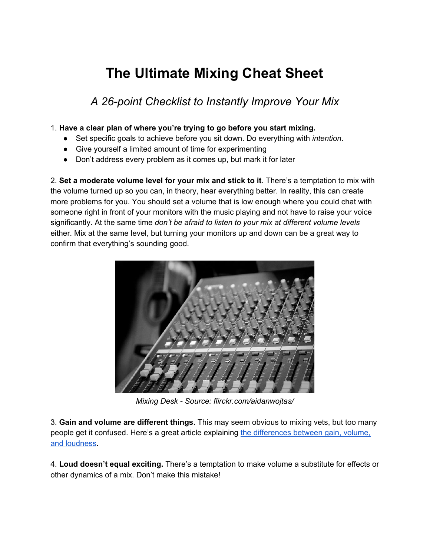## **The Ultimate Mixing Cheat Sheet**

A 26-point Checklist to Instantly Improve Your Mix

## 1. **Have a clear plan of where you're trying to go before you start mixing.**

- Set specific goals to achieve before you sit down. Do everything with *intention*.
- Give yourself a limited amount of time for experimenting
- Don't address every problem as it comes up, but mark it for later

2. **Set a moderate volume level for your mix and stick to it**. There's a temptation to mix with the volume turned up so you can, in theory, hear everything better. In reality, this can create more problems for you. You should set a volume that is low enough where you could chat with someone right in front of your monitors with the music playing and not have to raise your voice significantly. At the same time *don't be afraid to listen to your mix at different volume levels* either. Mix at the same level, but turning your monitors up and down can be a great way to confirm that everything's sounding good.



*Mixing Desk Source: flirckr.com/aidanwojtas/*

3. **Gain and volume are different things.** This may seem obvious to mixing vets, but too many people get it confused. Here's a great article explaining the differences between gain, volume, and loudness.

4. **Loud doesn't equal exciting.** There's a temptation to make volume a substitute for effects or other dynamics of a mix. Don't make this mistake!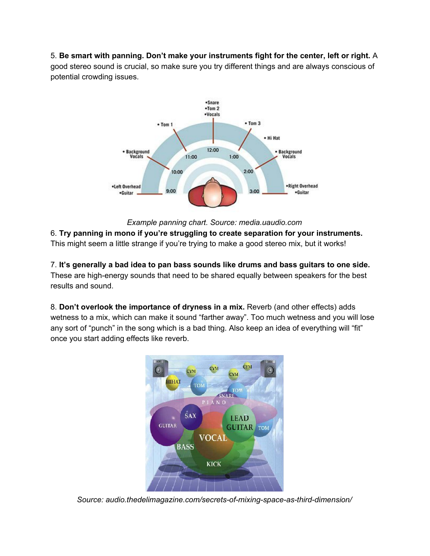5. **Be smart with panning. Don't make your instruments fight for the center, left or right.** A good stereo sound is crucial, so make sure you try different things and are always conscious of potential crowding issues.



*Example panning chart. Source: media.uaudio.com* 6. **Try panning in mono if you're struggling to create separation for your instruments.** This might seem a little strange if you're trying to make a good stereo mix, but it works!

7. **It's generally a bad idea to pan bass sounds like drums and bass guitars to one side.** These are high-energy sounds that need to be shared equally between speakers for the best results and sound.

8. **Don't overlook the importance of dryness in a mix.** Reverb (and other effects) adds wetness to a mix, which can make it sound "farther away". Too much wetness and you will lose any sort of "punch" in the song which is a bad thing. Also keep an idea of everything will "fit" once you start adding effects like reverb.



Source: audio.thedelimagazine.com/secrets-of-mixing-space-as-third-dimension/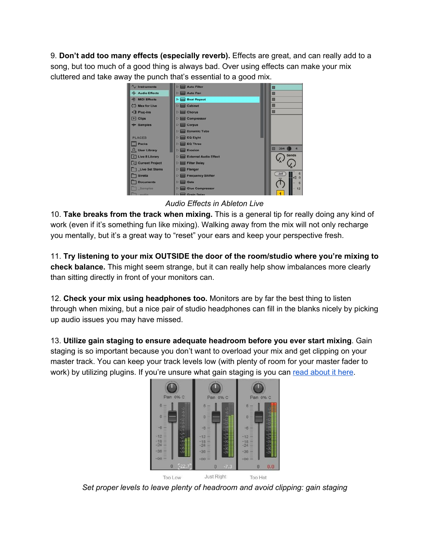9. **Don't add too many effects (especially reverb).** Effects are great, and can really add to a song, but too much of a good thing is always bad. Over using effects can make your mix cluttered and take away the punch that's essential to a good mix.



*Audio Effects in Ableton Live*

10. **Take breaks from the track when mixing.**This is a general tip for really doing any kind of work (even if it's something fun like mixing). Walking away from the mix will not only recharge you mentally, but it's a great way to "reset" your ears and keep your perspective fresh.

11. **Try listening to your mix OUTSIDE the door of the room/studio where you're mixing to check balance.** This might seem strange, but it can really help show imbalances more clearly than sitting directly in front of your monitors can.

12. **Check your mix using headphones too.** Monitors are by far the best thing to listen through when mixing, but a nice pair of studio headphones can fill in the blanks nicely by picking up audio issues you may have missed.

13. **Utilize gain staging to ensure adequate headroom before you ever start mixing**.Gain staging is so important because you don't want to overload your mix and get clipping on your master track. You can keep your track levels low (with plenty of room for your master fader to work) by utilizing plugins. If you're unsure what gain staging is you can read about it here.



*Set proper levels to leave plenty of headroom and avoid clipping: gain staging*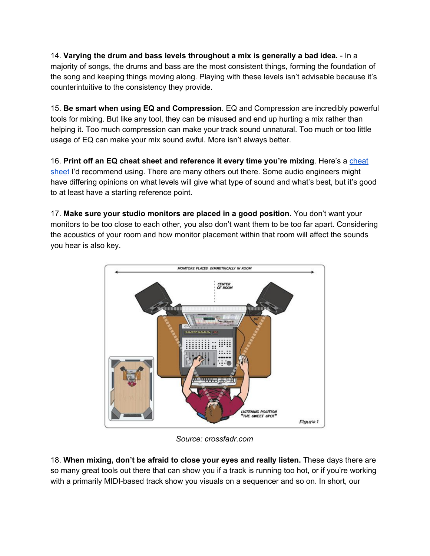14. **Varying the drum and bass levels throughout a mix is generally a bad idea.** In a majority of songs, the drums and bass are the most consistent things, forming the foundation of the song and keeping things moving along. Playing with these levels isn't advisable because it's counterintuitive to the consistency they provide.

15. **Be smart when using EQ and Compression**.EQ and Compression are incredibly powerful tools for mixing. But like any tool, they can be misused and end up hurting a mix rather than helping it. Too much compression can make your track sound unnatural. Too much or too little usage of EQ can make your mix sound awful. More isn't always better.

16. **Print off an EQ cheat sheet and reference it every time you're mixing**.Here's a cheat sheet I'd recommend using. There are many others out there. Some audio engineers might have differing opinions on what levels will give what type of sound and what's best, but it's good to at least have a starting reference point.

17. **Make sure your studio monitors are placed in a good position.**You don't want your monitors to be too close to each other, you also don't want them to be too far apart. Considering the acoustics of your room and how monitor placement within that room will affect the sounds you hear is also key.



*Source: crossfadr.com*

18. **When mixing, don't be afraid to close your eyes and really listen.**These days there are so many great tools out there that can show you if a track is running too hot, or if you're working with a primarily MIDI-based track show you visuals on a sequencer and so on. In short, our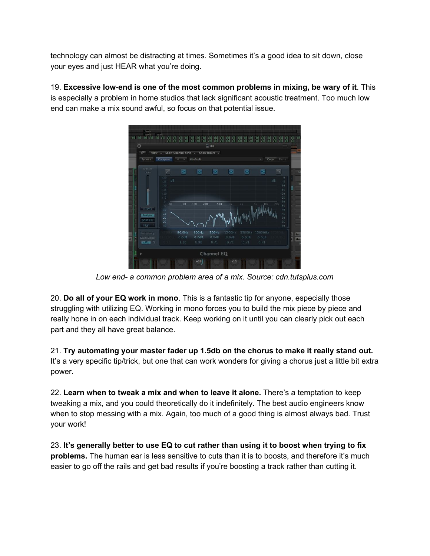technology can almost be distracting at times. Sometimes it's a good idea to sit down, close your eyes and just HEAR what you're doing.

19. **Excessive lowend is one of the most common problems in mixing, be wary of it**. This is especially a problem in home studios that lack significant acoustic treatment. Too much low end can make a mix sound awful, so focus on that potential issue.



*Low end a common problem area of a mix. Source: cdn.tutsplus.com*

20. **Do all of your EQ work in mono**. This is a fantastic tip for anyone, especially those struggling with utilizing EQ. Working in mono forces you to build the mix piece by piece and really hone in on each individual track. Keep working on it until you can clearly pick out each part and they all have great balance.

21. **Try automating your master fader up 1.5db on the chorus to make it really stand out.** It's a very specific tip/trick, but one that can work wonders for giving a chorus just a little bit extra power.

22. **Learn when to tweak a mix and when to leave it alone.** There's a temptation to keep tweaking a mix, and you could theoretically do it indefinitely. The best audio engineers know when to stop messing with a mix. Again, too much of a good thing is almost always bad. Trust your work!

23. **It's generally better to use EQ to cut rather than using it to boost when trying to fix problems.**The human ear is less sensitive to cuts than it is to boosts, and therefore it's much easier to go off the rails and get bad results if you're boosting a track rather than cutting it.